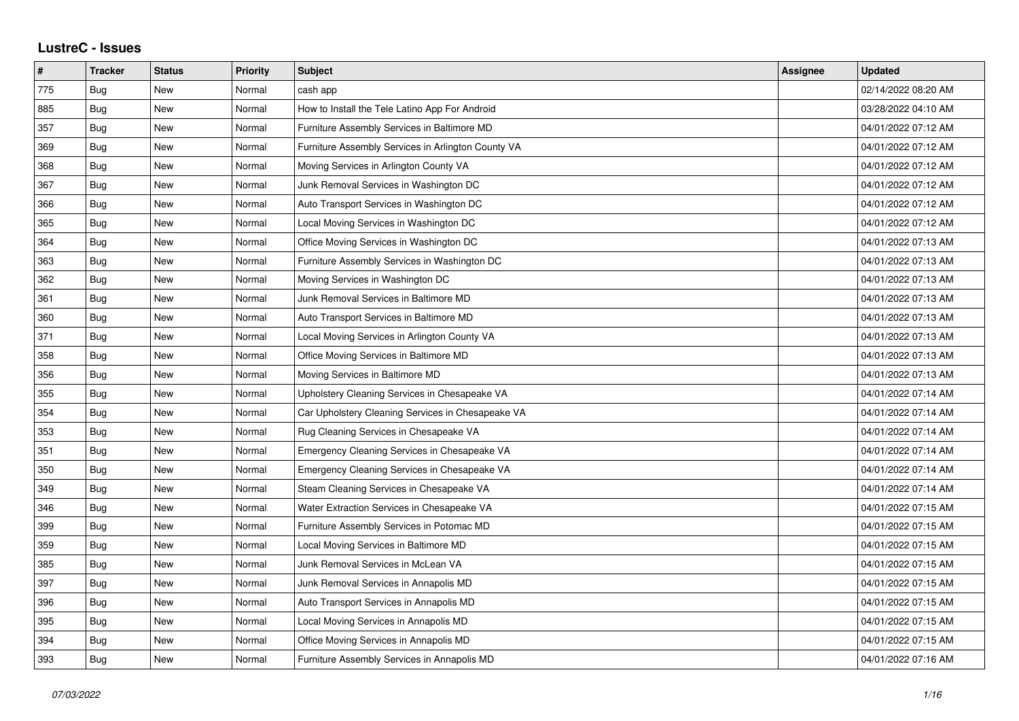## **LustreC - Issues**

| #   | <b>Tracker</b> | <b>Status</b> | <b>Priority</b> | <b>Subject</b>                                     | <b>Assignee</b> | <b>Updated</b>      |
|-----|----------------|---------------|-----------------|----------------------------------------------------|-----------------|---------------------|
| 775 | Bug            | New           | Normal          | cash app                                           |                 | 02/14/2022 08:20 AM |
| 885 | <b>Bug</b>     | New           | Normal          | How to Install the Tele Latino App For Android     |                 | 03/28/2022 04:10 AM |
| 357 | Bug            | New           | Normal          | Furniture Assembly Services in Baltimore MD        |                 | 04/01/2022 07:12 AM |
| 369 | Bug            | New           | Normal          | Furniture Assembly Services in Arlington County VA |                 | 04/01/2022 07:12 AM |
| 368 | <b>Bug</b>     | New           | Normal          | Moving Services in Arlington County VA             |                 | 04/01/2022 07:12 AM |
| 367 | Bug            | New           | Normal          | Junk Removal Services in Washington DC             |                 | 04/01/2022 07:12 AM |
| 366 | <b>Bug</b>     | New           | Normal          | Auto Transport Services in Washington DC           |                 | 04/01/2022 07:12 AM |
| 365 | Bug            | New           | Normal          | Local Moving Services in Washington DC             |                 | 04/01/2022 07:12 AM |
| 364 | Bug            | New           | Normal          | Office Moving Services in Washington DC            |                 | 04/01/2022 07:13 AM |
| 363 | Bug            | New           | Normal          | Furniture Assembly Services in Washington DC       |                 | 04/01/2022 07:13 AM |
| 362 | Bug            | <b>New</b>    | Normal          | Moving Services in Washington DC                   |                 | 04/01/2022 07:13 AM |
| 361 | Bug            | New           | Normal          | Junk Removal Services in Baltimore MD              |                 | 04/01/2022 07:13 AM |
| 360 | Bug            | New           | Normal          | Auto Transport Services in Baltimore MD            |                 | 04/01/2022 07:13 AM |
| 371 | Bug            | New           | Normal          | Local Moving Services in Arlington County VA       |                 | 04/01/2022 07:13 AM |
| 358 | <b>Bug</b>     | New           | Normal          | Office Moving Services in Baltimore MD             |                 | 04/01/2022 07:13 AM |
| 356 | Bug            | New           | Normal          | Moving Services in Baltimore MD                    |                 | 04/01/2022 07:13 AM |
| 355 | Bug            | New           | Normal          | Upholstery Cleaning Services in Chesapeake VA      |                 | 04/01/2022 07:14 AM |
| 354 | <b>Bug</b>     | New           | Normal          | Car Upholstery Cleaning Services in Chesapeake VA  |                 | 04/01/2022 07:14 AM |
| 353 | <b>Bug</b>     | New           | Normal          | Rug Cleaning Services in Chesapeake VA             |                 | 04/01/2022 07:14 AM |
| 351 | Bug            | New           | Normal          | Emergency Cleaning Services in Chesapeake VA       |                 | 04/01/2022 07:14 AM |
| 350 | <b>Bug</b>     | New           | Normal          | Emergency Cleaning Services in Chesapeake VA       |                 | 04/01/2022 07:14 AM |
| 349 | Bug            | New           | Normal          | Steam Cleaning Services in Chesapeake VA           |                 | 04/01/2022 07:14 AM |
| 346 | Bug            | New           | Normal          | Water Extraction Services in Chesapeake VA         |                 | 04/01/2022 07:15 AM |
| 399 | Bug            | New           | Normal          | Furniture Assembly Services in Potomac MD          |                 | 04/01/2022 07:15 AM |
| 359 | Bug            | New           | Normal          | Local Moving Services in Baltimore MD              |                 | 04/01/2022 07:15 AM |
| 385 | Bug            | New           | Normal          | Junk Removal Services in McLean VA                 |                 | 04/01/2022 07:15 AM |
| 397 | Bug            | New           | Normal          | Junk Removal Services in Annapolis MD              |                 | 04/01/2022 07:15 AM |
| 396 | Bug            | New           | Normal          | Auto Transport Services in Annapolis MD            |                 | 04/01/2022 07:15 AM |
| 395 | Bug            | New           | Normal          | Local Moving Services in Annapolis MD              |                 | 04/01/2022 07:15 AM |
| 394 | Bug            | New           | Normal          | Office Moving Services in Annapolis MD             |                 | 04/01/2022 07:15 AM |
| 393 | Bug            | New           | Normal          | Furniture Assembly Services in Annapolis MD        |                 | 04/01/2022 07:16 AM |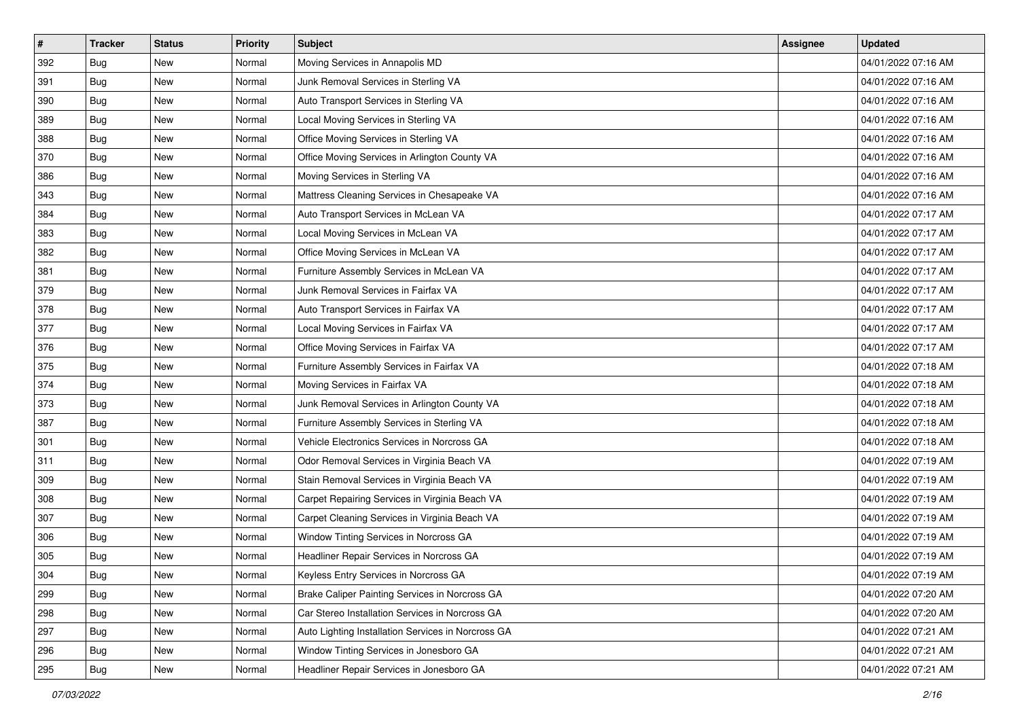| $\pmb{\#}$ | <b>Tracker</b> | <b>Status</b> | <b>Priority</b> | <b>Subject</b>                                     | <b>Assignee</b> | <b>Updated</b>      |
|------------|----------------|---------------|-----------------|----------------------------------------------------|-----------------|---------------------|
| 392        | Bug            | New           | Normal          | Moving Services in Annapolis MD                    |                 | 04/01/2022 07:16 AM |
| 391        | Bug            | <b>New</b>    | Normal          | Junk Removal Services in Sterling VA               |                 | 04/01/2022 07:16 AM |
| 390        | Bug            | New           | Normal          | Auto Transport Services in Sterling VA             |                 | 04/01/2022 07:16 AM |
| 389        | Bug            | <b>New</b>    | Normal          | Local Moving Services in Sterling VA               |                 | 04/01/2022 07:16 AM |
| 388        | Bug            | <b>New</b>    | Normal          | Office Moving Services in Sterling VA              |                 | 04/01/2022 07:16 AM |
| 370        | Bug            | New           | Normal          | Office Moving Services in Arlington County VA      |                 | 04/01/2022 07:16 AM |
| 386        | Bug            | New           | Normal          | Moving Services in Sterling VA                     |                 | 04/01/2022 07:16 AM |
| 343        | Bug            | New           | Normal          | Mattress Cleaning Services in Chesapeake VA        |                 | 04/01/2022 07:16 AM |
| 384        | Bug            | New           | Normal          | Auto Transport Services in McLean VA               |                 | 04/01/2022 07:17 AM |
| 383        | Bug            | <b>New</b>    | Normal          | Local Moving Services in McLean VA                 |                 | 04/01/2022 07:17 AM |
| 382        | Bug            | New           | Normal          | Office Moving Services in McLean VA                |                 | 04/01/2022 07:17 AM |
| 381        | Bug            | New           | Normal          | Furniture Assembly Services in McLean VA           |                 | 04/01/2022 07:17 AM |
| 379        | Bug            | <b>New</b>    | Normal          | Junk Removal Services in Fairfax VA                |                 | 04/01/2022 07:17 AM |
| 378        | <b>Bug</b>     | New           | Normal          | Auto Transport Services in Fairfax VA              |                 | 04/01/2022 07:17 AM |
| 377        | <b>Bug</b>     | New           | Normal          | Local Moving Services in Fairfax VA                |                 | 04/01/2022 07:17 AM |
| 376        | Bug            | New           | Normal          | Office Moving Services in Fairfax VA               |                 | 04/01/2022 07:17 AM |
| 375        | Bug            | New           | Normal          | Furniture Assembly Services in Fairfax VA          |                 | 04/01/2022 07:18 AM |
| 374        | Bug            | New           | Normal          | Moving Services in Fairfax VA                      |                 | 04/01/2022 07:18 AM |
| 373        | Bug            | New           | Normal          | Junk Removal Services in Arlington County VA       |                 | 04/01/2022 07:18 AM |
| 387        | Bug            | New           | Normal          | Furniture Assembly Services in Sterling VA         |                 | 04/01/2022 07:18 AM |
| 301        | Bug            | New           | Normal          | Vehicle Electronics Services in Norcross GA        |                 | 04/01/2022 07:18 AM |
| 311        | Bug            | New           | Normal          | Odor Removal Services in Virginia Beach VA         |                 | 04/01/2022 07:19 AM |
| 309        | Bug            | <b>New</b>    | Normal          | Stain Removal Services in Virginia Beach VA        |                 | 04/01/2022 07:19 AM |
| 308        | <b>Bug</b>     | New           | Normal          | Carpet Repairing Services in Virginia Beach VA     |                 | 04/01/2022 07:19 AM |
| 307        | Bug            | New           | Normal          | Carpet Cleaning Services in Virginia Beach VA      |                 | 04/01/2022 07:19 AM |
| 306        | Bug            | New           | Normal          | Window Tinting Services in Norcross GA             |                 | 04/01/2022 07:19 AM |
| 305        | <b>Bug</b>     | <b>New</b>    | Normal          | Headliner Repair Services in Norcross GA           |                 | 04/01/2022 07:19 AM |
| 304        | <b>Bug</b>     | New           | Normal          | Keyless Entry Services in Norcross GA              |                 | 04/01/2022 07:19 AM |
| 299        | Bug            | New           | Normal          | Brake Caliper Painting Services in Norcross GA     |                 | 04/01/2022 07:20 AM |
| 298        | Bug            | New           | Normal          | Car Stereo Installation Services in Norcross GA    |                 | 04/01/2022 07:20 AM |
| 297        | Bug            | New           | Normal          | Auto Lighting Installation Services in Norcross GA |                 | 04/01/2022 07:21 AM |
| 296        | Bug            | New           | Normal          | Window Tinting Services in Jonesboro GA            |                 | 04/01/2022 07:21 AM |
| 295        | Bug            | New           | Normal          | Headliner Repair Services in Jonesboro GA          |                 | 04/01/2022 07:21 AM |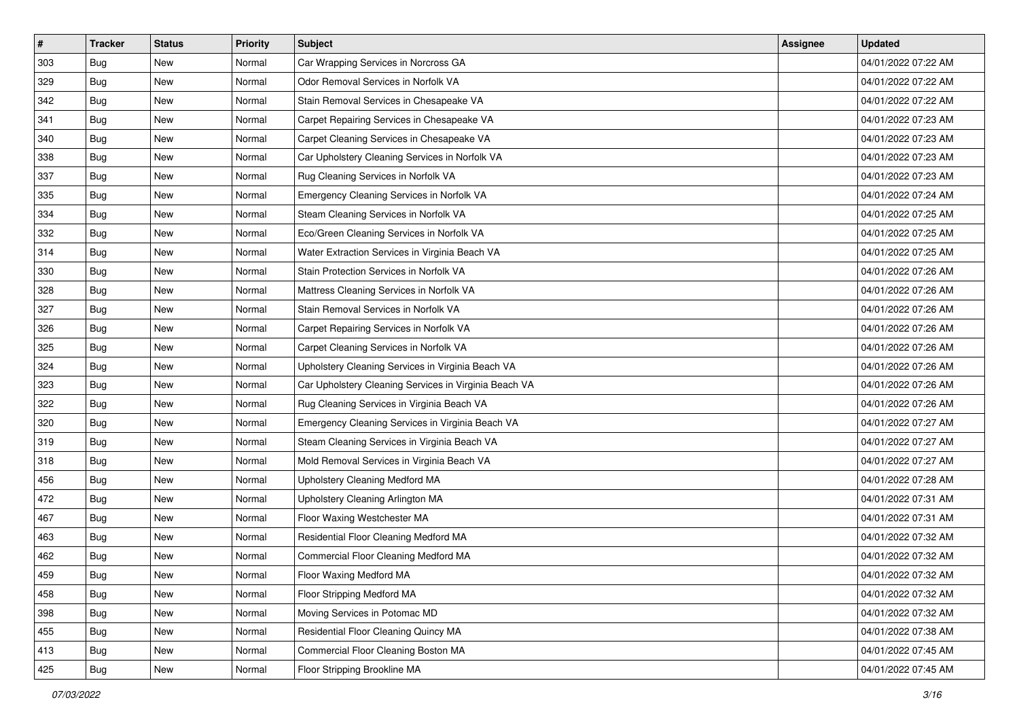| $\pmb{\#}$ | Tracker    | <b>Status</b> | <b>Priority</b> | <b>Subject</b>                                        | <b>Assignee</b> | <b>Updated</b>      |
|------------|------------|---------------|-----------------|-------------------------------------------------------|-----------------|---------------------|
| 303        | Bug        | New           | Normal          | Car Wrapping Services in Norcross GA                  |                 | 04/01/2022 07:22 AM |
| 329        | Bug        | <b>New</b>    | Normal          | Odor Removal Services in Norfolk VA                   |                 | 04/01/2022 07:22 AM |
| 342        | Bug        | New           | Normal          | Stain Removal Services in Chesapeake VA               |                 | 04/01/2022 07:22 AM |
| 341        | Bug        | <b>New</b>    | Normal          | Carpet Repairing Services in Chesapeake VA            |                 | 04/01/2022 07:23 AM |
| 340        | Bug        | <b>New</b>    | Normal          | Carpet Cleaning Services in Chesapeake VA             |                 | 04/01/2022 07:23 AM |
| 338        | <b>Bug</b> | New           | Normal          | Car Upholstery Cleaning Services in Norfolk VA        |                 | 04/01/2022 07:23 AM |
| 337        | Bug        | <b>New</b>    | Normal          | Rug Cleaning Services in Norfolk VA                   |                 | 04/01/2022 07:23 AM |
| 335        | Bug        | New           | Normal          | Emergency Cleaning Services in Norfolk VA             |                 | 04/01/2022 07:24 AM |
| 334        | Bug        | <b>New</b>    | Normal          | Steam Cleaning Services in Norfolk VA                 |                 | 04/01/2022 07:25 AM |
| 332        | <b>Bug</b> | <b>New</b>    | Normal          | Eco/Green Cleaning Services in Norfolk VA             |                 | 04/01/2022 07:25 AM |
| 314        | Bug        | New           | Normal          | Water Extraction Services in Virginia Beach VA        |                 | 04/01/2022 07:25 AM |
| 330        | Bug        | New           | Normal          | Stain Protection Services in Norfolk VA               |                 | 04/01/2022 07:26 AM |
| 328        | <b>Bug</b> | <b>New</b>    | Normal          | Mattress Cleaning Services in Norfolk VA              |                 | 04/01/2022 07:26 AM |
| 327        | Bug        | <b>New</b>    | Normal          | Stain Removal Services in Norfolk VA                  |                 | 04/01/2022 07:26 AM |
| 326        | <b>Bug</b> | <b>New</b>    | Normal          | Carpet Repairing Services in Norfolk VA               |                 | 04/01/2022 07:26 AM |
| 325        | <b>Bug</b> | New           | Normal          | Carpet Cleaning Services in Norfolk VA                |                 | 04/01/2022 07:26 AM |
| 324        | Bug        | <b>New</b>    | Normal          | Upholstery Cleaning Services in Virginia Beach VA     |                 | 04/01/2022 07:26 AM |
| 323        | <b>Bug</b> | <b>New</b>    | Normal          | Car Upholstery Cleaning Services in Virginia Beach VA |                 | 04/01/2022 07:26 AM |
| 322        | Bug        | New           | Normal          | Rug Cleaning Services in Virginia Beach VA            |                 | 04/01/2022 07:26 AM |
| 320        | <b>Bug</b> | <b>New</b>    | Normal          | Emergency Cleaning Services in Virginia Beach VA      |                 | 04/01/2022 07:27 AM |
| 319        | Bug        | New           | Normal          | Steam Cleaning Services in Virginia Beach VA          |                 | 04/01/2022 07:27 AM |
| 318        | Bug        | <b>New</b>    | Normal          | Mold Removal Services in Virginia Beach VA            |                 | 04/01/2022 07:27 AM |
| 456        | <b>Bug</b> | <b>New</b>    | Normal          | Upholstery Cleaning Medford MA                        |                 | 04/01/2022 07:28 AM |
| 472        | Bug        | New           | Normal          | Upholstery Cleaning Arlington MA                      |                 | 04/01/2022 07:31 AM |
| 467        | Bug        | <b>New</b>    | Normal          | Floor Waxing Westchester MA                           |                 | 04/01/2022 07:31 AM |
| 463        | Bug        | <b>New</b>    | Normal          | Residential Floor Cleaning Medford MA                 |                 | 04/01/2022 07:32 AM |
| 462        | Bug        | New           | Normal          | Commercial Floor Cleaning Medford MA                  |                 | 04/01/2022 07:32 AM |
| 459        | Bug        | New           | Normal          | Floor Waxing Medford MA                               |                 | 04/01/2022 07:32 AM |
| 458        | Bug        | New           | Normal          | Floor Stripping Medford MA                            |                 | 04/01/2022 07:32 AM |
| 398        | Bug        | New           | Normal          | Moving Services in Potomac MD                         |                 | 04/01/2022 07:32 AM |
| 455        | Bug        | New           | Normal          | Residential Floor Cleaning Quincy MA                  |                 | 04/01/2022 07:38 AM |
| 413        | Bug        | New           | Normal          | Commercial Floor Cleaning Boston MA                   |                 | 04/01/2022 07:45 AM |
| 425        | Bug        | New           | Normal          | Floor Stripping Brookline MA                          |                 | 04/01/2022 07:45 AM |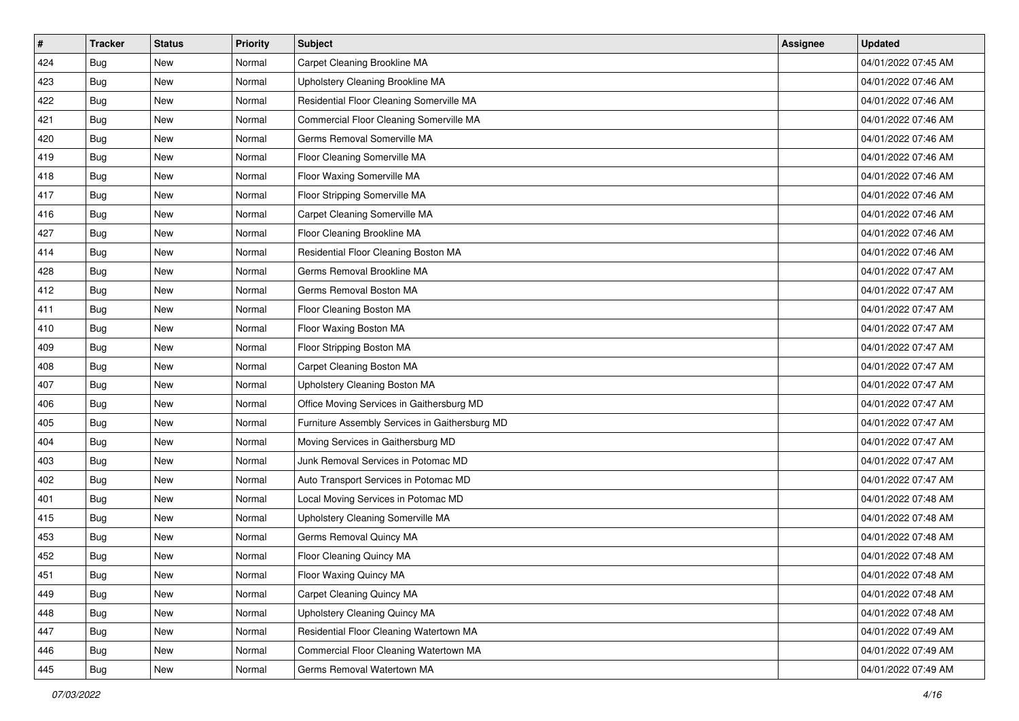| $\sharp$ | <b>Tracker</b> | <b>Status</b> | Priority | Subject                                        | Assignee | <b>Updated</b>      |
|----------|----------------|---------------|----------|------------------------------------------------|----------|---------------------|
| 424      | Bug            | New           | Normal   | Carpet Cleaning Brookline MA                   |          | 04/01/2022 07:45 AM |
| 423      | Bug            | New           | Normal   | Upholstery Cleaning Brookline MA               |          | 04/01/2022 07:46 AM |
| 422      | <b>Bug</b>     | New           | Normal   | Residential Floor Cleaning Somerville MA       |          | 04/01/2022 07:46 AM |
| 421      | Bug            | New           | Normal   | Commercial Floor Cleaning Somerville MA        |          | 04/01/2022 07:46 AM |
| 420      | Bug            | New           | Normal   | Germs Removal Somerville MA                    |          | 04/01/2022 07:46 AM |
| 419      | <b>Bug</b>     | New           | Normal   | Floor Cleaning Somerville MA                   |          | 04/01/2022 07:46 AM |
| 418      | Bug            | New           | Normal   | Floor Waxing Somerville MA                     |          | 04/01/2022 07:46 AM |
| 417      | Bug            | New           | Normal   | Floor Stripping Somerville MA                  |          | 04/01/2022 07:46 AM |
| 416      | Bug            | New           | Normal   | Carpet Cleaning Somerville MA                  |          | 04/01/2022 07:46 AM |
| 427      | Bug            | New           | Normal   | Floor Cleaning Brookline MA                    |          | 04/01/2022 07:46 AM |
| 414      | Bug            | New           | Normal   | Residential Floor Cleaning Boston MA           |          | 04/01/2022 07:46 AM |
| 428      | Bug            | New           | Normal   | Germs Removal Brookline MA                     |          | 04/01/2022 07:47 AM |
| 412      | Bug            | New           | Normal   | Germs Removal Boston MA                        |          | 04/01/2022 07:47 AM |
| 411      | Bug            | New           | Normal   | Floor Cleaning Boston MA                       |          | 04/01/2022 07:47 AM |
| 410      | <b>Bug</b>     | New           | Normal   | Floor Waxing Boston MA                         |          | 04/01/2022 07:47 AM |
| 409      | Bug            | New           | Normal   | Floor Stripping Boston MA                      |          | 04/01/2022 07:47 AM |
| 408      | Bug            | New           | Normal   | Carpet Cleaning Boston MA                      |          | 04/01/2022 07:47 AM |
| 407      | <b>Bug</b>     | New           | Normal   | Upholstery Cleaning Boston MA                  |          | 04/01/2022 07:47 AM |
| 406      | Bug            | New           | Normal   | Office Moving Services in Gaithersburg MD      |          | 04/01/2022 07:47 AM |
| 405      | Bug            | New           | Normal   | Furniture Assembly Services in Gaithersburg MD |          | 04/01/2022 07:47 AM |
| 404      | Bug            | New           | Normal   | Moving Services in Gaithersburg MD             |          | 04/01/2022 07:47 AM |
| 403      | Bug            | New           | Normal   | Junk Removal Services in Potomac MD            |          | 04/01/2022 07:47 AM |
| 402      | Bug            | New           | Normal   | Auto Transport Services in Potomac MD          |          | 04/01/2022 07:47 AM |
| 401      | Bug            | New           | Normal   | Local Moving Services in Potomac MD            |          | 04/01/2022 07:48 AM |
| 415      | Bug            | New           | Normal   | Upholstery Cleaning Somerville MA              |          | 04/01/2022 07:48 AM |
| 453      | Bug            | New           | Normal   | Germs Removal Quincy MA                        |          | 04/01/2022 07:48 AM |
| 452      | Bug            | New           | Normal   | Floor Cleaning Quincy MA                       |          | 04/01/2022 07:48 AM |
| 451      | <b>Bug</b>     | New           | Normal   | Floor Waxing Quincy MA                         |          | 04/01/2022 07:48 AM |
| 449      | Bug            | New           | Normal   | Carpet Cleaning Quincy MA                      |          | 04/01/2022 07:48 AM |
| 448      | Bug            | New           | Normal   | Upholstery Cleaning Quincy MA                  |          | 04/01/2022 07:48 AM |
| 447      | Bug            | New           | Normal   | Residential Floor Cleaning Watertown MA        |          | 04/01/2022 07:49 AM |
| 446      | Bug            | New           | Normal   | Commercial Floor Cleaning Watertown MA         |          | 04/01/2022 07:49 AM |
| 445      | <b>Bug</b>     | New           | Normal   | Germs Removal Watertown MA                     |          | 04/01/2022 07:49 AM |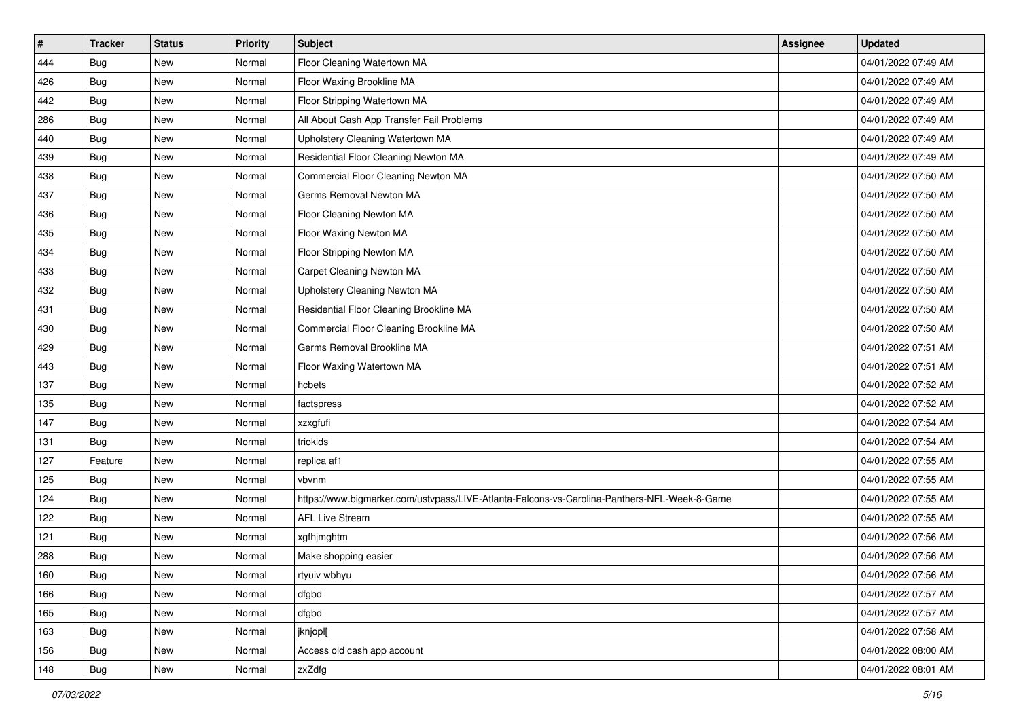| $\sharp$ | <b>Tracker</b> | <b>Status</b> | Priority | <b>Subject</b>                                                                               | Assignee | <b>Updated</b>      |
|----------|----------------|---------------|----------|----------------------------------------------------------------------------------------------|----------|---------------------|
| 444      | Bug            | New           | Normal   | Floor Cleaning Watertown MA                                                                  |          | 04/01/2022 07:49 AM |
| 426      | Bug            | <b>New</b>    | Normal   | Floor Waxing Brookline MA                                                                    |          | 04/01/2022 07:49 AM |
| 442      | Bug            | New           | Normal   | Floor Stripping Watertown MA                                                                 |          | 04/01/2022 07:49 AM |
| 286      | Bug            | New           | Normal   | All About Cash App Transfer Fail Problems                                                    |          | 04/01/2022 07:49 AM |
| 440      | Bug            | <b>New</b>    | Normal   | Upholstery Cleaning Watertown MA                                                             |          | 04/01/2022 07:49 AM |
| 439      | Bug            | New           | Normal   | Residential Floor Cleaning Newton MA                                                         |          | 04/01/2022 07:49 AM |
| 438      | Bug            | New           | Normal   | Commercial Floor Cleaning Newton MA                                                          |          | 04/01/2022 07:50 AM |
| 437      | Bug            | <b>New</b>    | Normal   | Germs Removal Newton MA                                                                      |          | 04/01/2022 07:50 AM |
| 436      | Bug            | New           | Normal   | Floor Cleaning Newton MA                                                                     |          | 04/01/2022 07:50 AM |
| 435      | Bug            | <b>New</b>    | Normal   | Floor Waxing Newton MA                                                                       |          | 04/01/2022 07:50 AM |
| 434      | Bug            | New           | Normal   | Floor Stripping Newton MA                                                                    |          | 04/01/2022 07:50 AM |
| 433      | Bug            | New           | Normal   | Carpet Cleaning Newton MA                                                                    |          | 04/01/2022 07:50 AM |
| 432      | Bug            | <b>New</b>    | Normal   | <b>Upholstery Cleaning Newton MA</b>                                                         |          | 04/01/2022 07:50 AM |
| 431      | Bug            | New           | Normal   | Residential Floor Cleaning Brookline MA                                                      |          | 04/01/2022 07:50 AM |
| 430      | Bug            | <b>New</b>    | Normal   | Commercial Floor Cleaning Brookline MA                                                       |          | 04/01/2022 07:50 AM |
| 429      | Bug            | New           | Normal   | Germs Removal Brookline MA                                                                   |          | 04/01/2022 07:51 AM |
| 443      | Bug            | New           | Normal   | Floor Waxing Watertown MA                                                                    |          | 04/01/2022 07:51 AM |
| 137      | Bug            | <b>New</b>    | Normal   | hcbets                                                                                       |          | 04/01/2022 07:52 AM |
| 135      | Bug            | New           | Normal   | factspress                                                                                   |          | 04/01/2022 07:52 AM |
| 147      | Bug            | <b>New</b>    | Normal   | xzxgfufi                                                                                     |          | 04/01/2022 07:54 AM |
| 131      | Bug            | New           | Normal   | triokids                                                                                     |          | 04/01/2022 07:54 AM |
| 127      | Feature        | <b>New</b>    | Normal   | replica af1                                                                                  |          | 04/01/2022 07:55 AM |
| 125      | Bug            | <b>New</b>    | Normal   | vbvnm                                                                                        |          | 04/01/2022 07:55 AM |
| 124      | Bug            | New           | Normal   | https://www.bigmarker.com/ustvpass/LIVE-Atlanta-Falcons-vs-Carolina-Panthers-NFL-Week-8-Game |          | 04/01/2022 07:55 AM |
| 122      | Bug            | New           | Normal   | <b>AFL Live Stream</b>                                                                       |          | 04/01/2022 07:55 AM |
| 121      | Bug            | New           | Normal   | xgfhjmghtm                                                                                   |          | 04/01/2022 07:56 AM |
| 288      | Bug            | New           | Normal   | Make shopping easier                                                                         |          | 04/01/2022 07:56 AM |
| 160      | <b>Bug</b>     | New           | Normal   | rtyuiv wbhyu                                                                                 |          | 04/01/2022 07:56 AM |
| 166      | Bug            | New           | Normal   | dfgbd                                                                                        |          | 04/01/2022 07:57 AM |
| 165      | Bug            | New           | Normal   | dfgbd                                                                                        |          | 04/01/2022 07:57 AM |
| 163      | Bug            | New           | Normal   | jknjopl[                                                                                     |          | 04/01/2022 07:58 AM |
| 156      | Bug            | New           | Normal   | Access old cash app account                                                                  |          | 04/01/2022 08:00 AM |
| 148      | <b>Bug</b>     | New           | Normal   | zxZdfg                                                                                       |          | 04/01/2022 08:01 AM |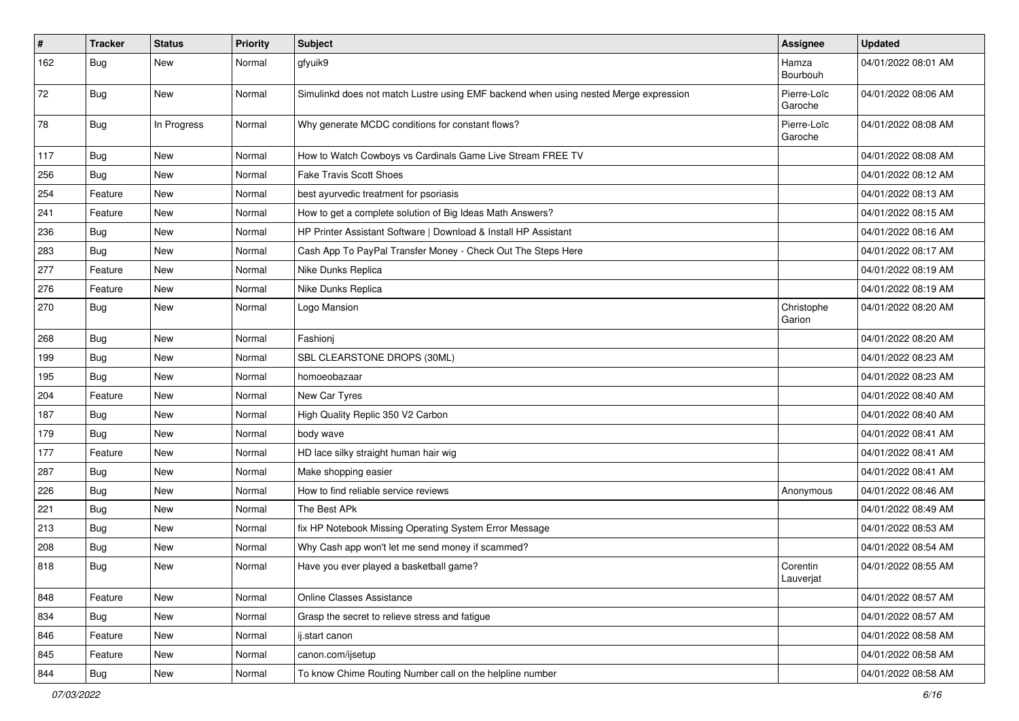| $\vert$ # | <b>Tracker</b> | <b>Status</b> | <b>Priority</b> | <b>Subject</b>                                                                       | <b>Assignee</b>        | <b>Updated</b>      |
|-----------|----------------|---------------|-----------------|--------------------------------------------------------------------------------------|------------------------|---------------------|
| 162       | <b>Bug</b>     | New           | Normal          | gfyuik9                                                                              | Hamza<br>Bourbouh      | 04/01/2022 08:01 AM |
| 72        | Bug            | New           | Normal          | Simulinkd does not match Lustre using EMF backend when using nested Merge expression | Pierre-Loïc<br>Garoche | 04/01/2022 08:06 AM |
| 78        | Bug            | In Progress   | Normal          | Why generate MCDC conditions for constant flows?                                     | Pierre-Loïc<br>Garoche | 04/01/2022 08:08 AM |
| 117       | Bug            | <b>New</b>    | Normal          | How to Watch Cowboys vs Cardinals Game Live Stream FREE TV                           |                        | 04/01/2022 08:08 AM |
| 256       | Bug            | <b>New</b>    | Normal          | <b>Fake Travis Scott Shoes</b>                                                       |                        | 04/01/2022 08:12 AM |
| 254       | Feature        | <b>New</b>    | Normal          | best ayurvedic treatment for psoriasis                                               |                        | 04/01/2022 08:13 AM |
| 241       | Feature        | <b>New</b>    | Normal          | How to get a complete solution of Big Ideas Math Answers?                            |                        | 04/01/2022 08:15 AM |
| 236       | Bug            | New           | Normal          | HP Printer Assistant Software   Download & Install HP Assistant                      |                        | 04/01/2022 08:16 AM |
| 283       | Bug            | New           | Normal          | Cash App To PayPal Transfer Money - Check Out The Steps Here                         |                        | 04/01/2022 08:17 AM |
| 277       | Feature        | <b>New</b>    | Normal          | Nike Dunks Replica                                                                   |                        | 04/01/2022 08:19 AM |
| 276       | Feature        | New           | Normal          | Nike Dunks Replica                                                                   |                        | 04/01/2022 08:19 AM |
| 270       | Bug            | New           | Normal          | Logo Mansion                                                                         | Christophe<br>Garion   | 04/01/2022 08:20 AM |
| 268       | Bug            | New           | Normal          | Fashionj                                                                             |                        | 04/01/2022 08:20 AM |
| 199       | Bug            | New           | Normal          | SBL CLEARSTONE DROPS (30ML)                                                          |                        | 04/01/2022 08:23 AM |
| 195       | Bug            | New           | Normal          | homoeobazaar                                                                         |                        | 04/01/2022 08:23 AM |
| 204       | Feature        | <b>New</b>    | Normal          | New Car Tyres                                                                        |                        | 04/01/2022 08:40 AM |
| 187       | Bug            | <b>New</b>    | Normal          | High Quality Replic 350 V2 Carbon                                                    |                        | 04/01/2022 08:40 AM |
| 179       | Bug            | New           | Normal          | body wave                                                                            |                        | 04/01/2022 08:41 AM |
| 177       | Feature        | New           | Normal          | HD lace silky straight human hair wig                                                |                        | 04/01/2022 08:41 AM |
| 287       | Bug            | New           | Normal          | Make shopping easier                                                                 |                        | 04/01/2022 08:41 AM |
| 226       | Bug            | New           | Normal          | How to find reliable service reviews                                                 | Anonymous              | 04/01/2022 08:46 AM |
| 221       | Bug            | <b>New</b>    | Normal          | The Best APk                                                                         |                        | 04/01/2022 08:49 AM |
| 213       | Bug            | New           | Normal          | fix HP Notebook Missing Operating System Error Message                               |                        | 04/01/2022 08:53 AM |
| 208       | <b>Bug</b>     | New           | Normal          | Why Cash app won't let me send money if scammed?                                     |                        | 04/01/2022 08:54 AM |
| 818       | Bug            | New           | Normal          | Have you ever played a basketball game?                                              | Corentin<br>Lauverjat  | 04/01/2022 08:55 AM |
| 848       | Feature        | New           | Normal          | Online Classes Assistance                                                            |                        | 04/01/2022 08:57 AM |
| 834       | Bug            | New           | Normal          | Grasp the secret to relieve stress and fatigue                                       |                        | 04/01/2022 08:57 AM |
| 846       | Feature        | New           | Normal          | ij.start canon                                                                       |                        | 04/01/2022 08:58 AM |
| 845       | Feature        | New           | Normal          | canon.com/ijsetup                                                                    |                        | 04/01/2022 08:58 AM |
| 844       | <b>Bug</b>     | New           | Normal          | To know Chime Routing Number call on the helpline number                             |                        | 04/01/2022 08:58 AM |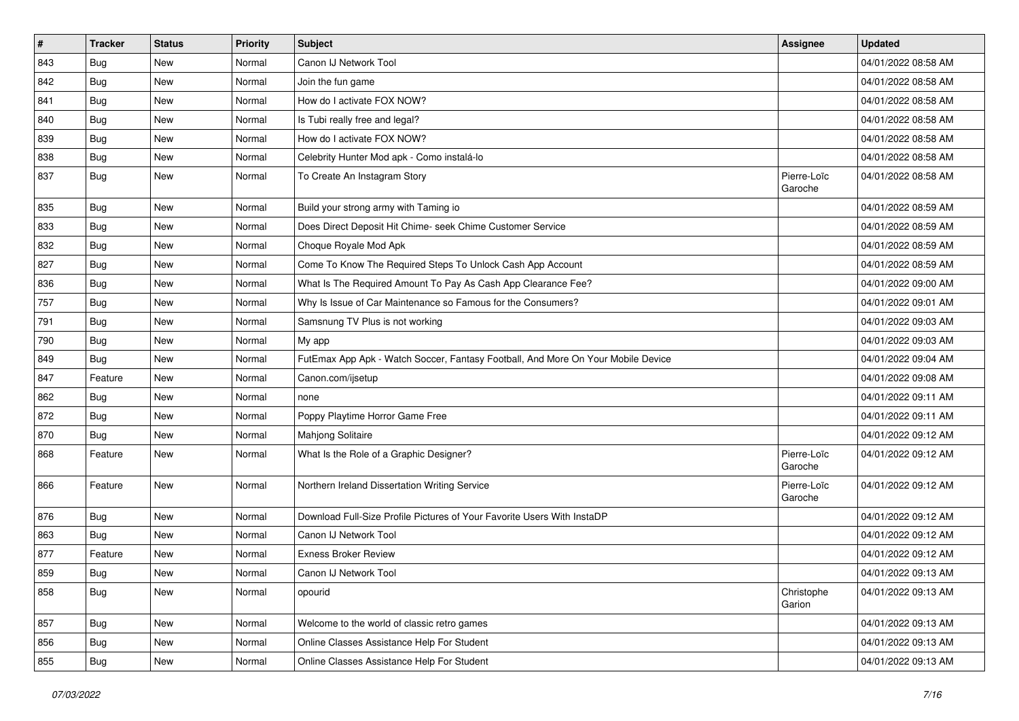| $\pmb{\#}$ | <b>Tracker</b> | <b>Status</b> | <b>Priority</b> | <b>Subject</b>                                                                   | Assignee               | <b>Updated</b>      |
|------------|----------------|---------------|-----------------|----------------------------------------------------------------------------------|------------------------|---------------------|
| 843        | <b>Bug</b>     | New           | Normal          | Canon IJ Network Tool                                                            |                        | 04/01/2022 08:58 AM |
| 842        | Bug            | New           | Normal          | Join the fun game                                                                |                        | 04/01/2022 08:58 AM |
| 841        | Bug            | New           | Normal          | How do I activate FOX NOW?                                                       |                        | 04/01/2022 08:58 AM |
| 840        | <b>Bug</b>     | New           | Normal          | Is Tubi really free and legal?                                                   |                        | 04/01/2022 08:58 AM |
| 839        | <b>Bug</b>     | New           | Normal          | How do I activate FOX NOW?                                                       |                        | 04/01/2022 08:58 AM |
| 838        | <b>Bug</b>     | New           | Normal          | Celebrity Hunter Mod apk - Como instalá-lo                                       |                        | 04/01/2022 08:58 AM |
| 837        | Bug            | New           | Normal          | To Create An Instagram Story                                                     | Pierre-Loïc<br>Garoche | 04/01/2022 08:58 AM |
| 835        | Bug            | New           | Normal          | Build your strong army with Taming io                                            |                        | 04/01/2022 08:59 AM |
| 833        | <b>Bug</b>     | New           | Normal          | Does Direct Deposit Hit Chime- seek Chime Customer Service                       |                        | 04/01/2022 08:59 AM |
| 832        | Bug            | New           | Normal          | Choque Royale Mod Apk                                                            |                        | 04/01/2022 08:59 AM |
| 827        | <b>Bug</b>     | New           | Normal          | Come To Know The Required Steps To Unlock Cash App Account                       |                        | 04/01/2022 08:59 AM |
| 836        | <b>Bug</b>     | New           | Normal          | What Is The Required Amount To Pay As Cash App Clearance Fee?                    |                        | 04/01/2022 09:00 AM |
| 757        | <b>Bug</b>     | New           | Normal          | Why Is Issue of Car Maintenance so Famous for the Consumers?                     |                        | 04/01/2022 09:01 AM |
| 791        | Bug            | New           | Normal          | Samsnung TV Plus is not working                                                  |                        | 04/01/2022 09:03 AM |
| 790        | Bug            | New           | Normal          | My app                                                                           |                        | 04/01/2022 09:03 AM |
| 849        | Bug            | New           | Normal          | FutEmax App Apk - Watch Soccer, Fantasy Football, And More On Your Mobile Device |                        | 04/01/2022 09:04 AM |
| 847        | Feature        | New           | Normal          | Canon.com/ijsetup                                                                |                        | 04/01/2022 09:08 AM |
| 862        | Bug            | New           | Normal          | none                                                                             |                        | 04/01/2022 09:11 AM |
| 872        | Bug            | New           | Normal          | Poppy Playtime Horror Game Free                                                  |                        | 04/01/2022 09:11 AM |
| 870        | Bug            | New           | Normal          | <b>Mahjong Solitaire</b>                                                         |                        | 04/01/2022 09:12 AM |
| 868        | Feature        | New           | Normal          | What Is the Role of a Graphic Designer?                                          | Pierre-Loïc<br>Garoche | 04/01/2022 09:12 AM |
| 866        | Feature        | New           | Normal          | Northern Ireland Dissertation Writing Service                                    | Pierre-Loïc<br>Garoche | 04/01/2022 09:12 AM |
| 876        | Bug            | New           | Normal          | Download Full-Size Profile Pictures of Your Favorite Users With InstaDP          |                        | 04/01/2022 09:12 AM |
| 863        | <b>Bug</b>     | New           | Normal          | Canon IJ Network Tool                                                            |                        | 04/01/2022 09:12 AM |
| 877        | Feature        | New           | Normal          | <b>Exness Broker Review</b>                                                      |                        | 04/01/2022 09:12 AM |
| 859        | Bug            | New           | Normal          | Canon IJ Network Tool                                                            |                        | 04/01/2022 09:13 AM |
| 858        | Bug            | New           | Normal          | opourid                                                                          | Christophe<br>Garion   | 04/01/2022 09:13 AM |
| 857        | Bug            | New           | Normal          | Welcome to the world of classic retro games                                      |                        | 04/01/2022 09:13 AM |
| 856        | <b>Bug</b>     | New           | Normal          | Online Classes Assistance Help For Student                                       |                        | 04/01/2022 09:13 AM |
| 855        | <b>Bug</b>     | New           | Normal          | Online Classes Assistance Help For Student                                       |                        | 04/01/2022 09:13 AM |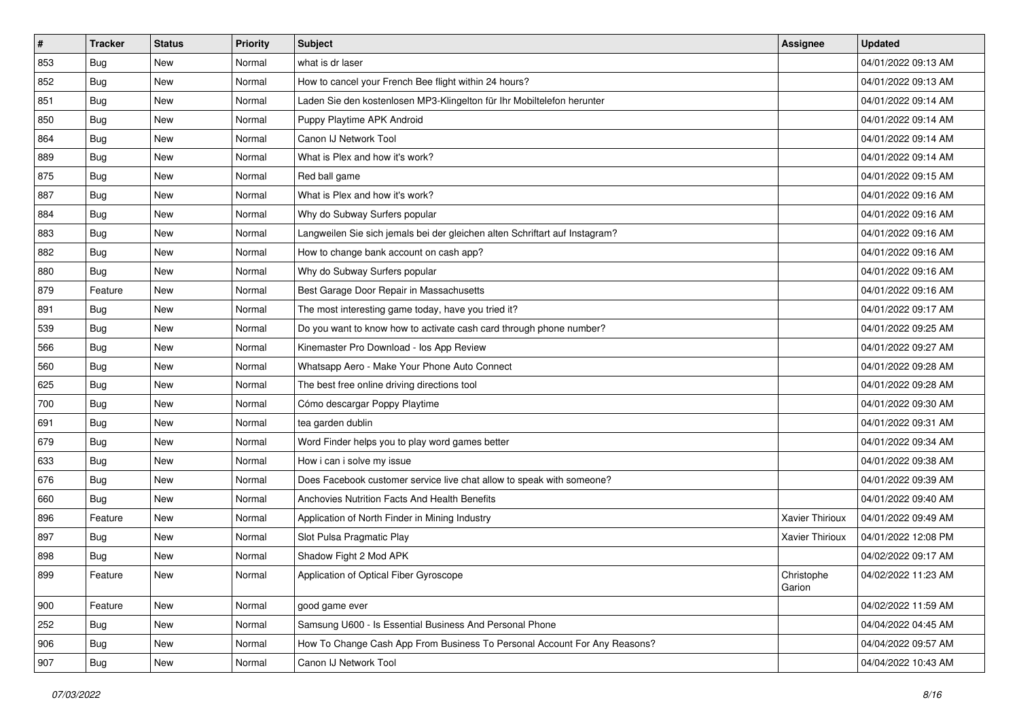| $\sharp$      | <b>Tracker</b> | <b>Status</b> | <b>Priority</b> | Subject                                                                     | <b>Assignee</b>      | <b>Updated</b>      |
|---------------|----------------|---------------|-----------------|-----------------------------------------------------------------------------|----------------------|---------------------|
| 853           | Bug            | New           | Normal          | what is dr laser                                                            |                      | 04/01/2022 09:13 AM |
| 852           | Bug            | New           | Normal          | How to cancel your French Bee flight within 24 hours?                       |                      | 04/01/2022 09:13 AM |
| 851           | Bug            | New           | Normal          | Laden Sie den kostenlosen MP3-Klingelton für Ihr Mobiltelefon herunter      |                      | 04/01/2022 09:14 AM |
| 850           | Bug            | New           | Normal          | Puppy Playtime APK Android                                                  |                      | 04/01/2022 09:14 AM |
| 864           | Bug            | New           | Normal          | Canon IJ Network Tool                                                       |                      | 04/01/2022 09:14 AM |
| 889           | <b>Bug</b>     | New           | Normal          | What is Plex and how it's work?                                             |                      | 04/01/2022 09:14 AM |
| 875           | Bug            | New           | Normal          | Red ball game                                                               |                      | 04/01/2022 09:15 AM |
| 887           | Bug            | New           | Normal          | What is Plex and how it's work?                                             |                      | 04/01/2022 09:16 AM |
| 884           | Bug            | New           | Normal          | Why do Subway Surfers popular                                               |                      | 04/01/2022 09:16 AM |
| 883           | Bug            | New           | Normal          | Langweilen Sie sich jemals bei der gleichen alten Schriftart auf Instagram? |                      | 04/01/2022 09:16 AM |
| 882           | Bug            | New           | Normal          | How to change bank account on cash app?                                     |                      | 04/01/2022 09:16 AM |
| 880           | Bug            | New           | Normal          | Why do Subway Surfers popular                                               |                      | 04/01/2022 09:16 AM |
| 879           | Feature        | <b>New</b>    | Normal          | Best Garage Door Repair in Massachusetts                                    |                      | 04/01/2022 09:16 AM |
| 891           | Bug            | New           | Normal          | The most interesting game today, have you tried it?                         |                      | 04/01/2022 09:17 AM |
| 539           | <b>Bug</b>     | New           | Normal          | Do you want to know how to activate cash card through phone number?         |                      | 04/01/2022 09:25 AM |
| 566           | <b>Bug</b>     | New           | Normal          | Kinemaster Pro Download - los App Review                                    |                      | 04/01/2022 09:27 AM |
| 560           | Bug            | New           | Normal          | Whatsapp Aero - Make Your Phone Auto Connect                                |                      | 04/01/2022 09:28 AM |
| 625           | <b>Bug</b>     | New           | Normal          | The best free online driving directions tool                                |                      | 04/01/2022 09:28 AM |
| 700           | Bug            | New           | Normal          | Cómo descargar Poppy Playtime                                               |                      | 04/01/2022 09:30 AM |
| 691           | Bug            | New           | Normal          | tea garden dublin                                                           |                      | 04/01/2022 09:31 AM |
| 679           | Bug            | New           | Normal          | Word Finder helps you to play word games better                             |                      | 04/01/2022 09:34 AM |
| 633           | Bug            | New           | Normal          | How i can i solve my issue                                                  |                      | 04/01/2022 09:38 AM |
| 676           | <b>Bug</b>     | New           | Normal          | Does Facebook customer service live chat allow to speak with someone?       |                      | 04/01/2022 09:39 AM |
| 660           | Bug            | New           | Normal          | Anchovies Nutrition Facts And Health Benefits                               |                      | 04/01/2022 09:40 AM |
| 896           | Feature        | New           | Normal          | Application of North Finder in Mining Industry                              | Xavier Thirioux      | 04/01/2022 09:49 AM |
| 897           | Bug            | New           | Normal          | Slot Pulsa Pragmatic Play                                                   | Xavier Thirioux      | 04/01/2022 12:08 PM |
| 898           | Bug            | New           | Normal          | Shadow Fight 2 Mod APK                                                      |                      | 04/02/2022 09:17 AM |
| 899           | Feature        | New           | Normal          | Application of Optical Fiber Gyroscope                                      | Christophe<br>Garion | 04/02/2022 11:23 AM |
| $ 900\rangle$ | Feature        | New           | Normal          | good game ever                                                              |                      | 04/02/2022 11:59 AM |
| 252           | Bug            | New           | Normal          | Samsung U600 - Is Essential Business And Personal Phone                     |                      | 04/04/2022 04:45 AM |
| 906           | Bug            | New           | Normal          | How To Change Cash App From Business To Personal Account For Any Reasons?   |                      | 04/04/2022 09:57 AM |
| 907           | <b>Bug</b>     | New           | Normal          | Canon IJ Network Tool                                                       |                      | 04/04/2022 10:43 AM |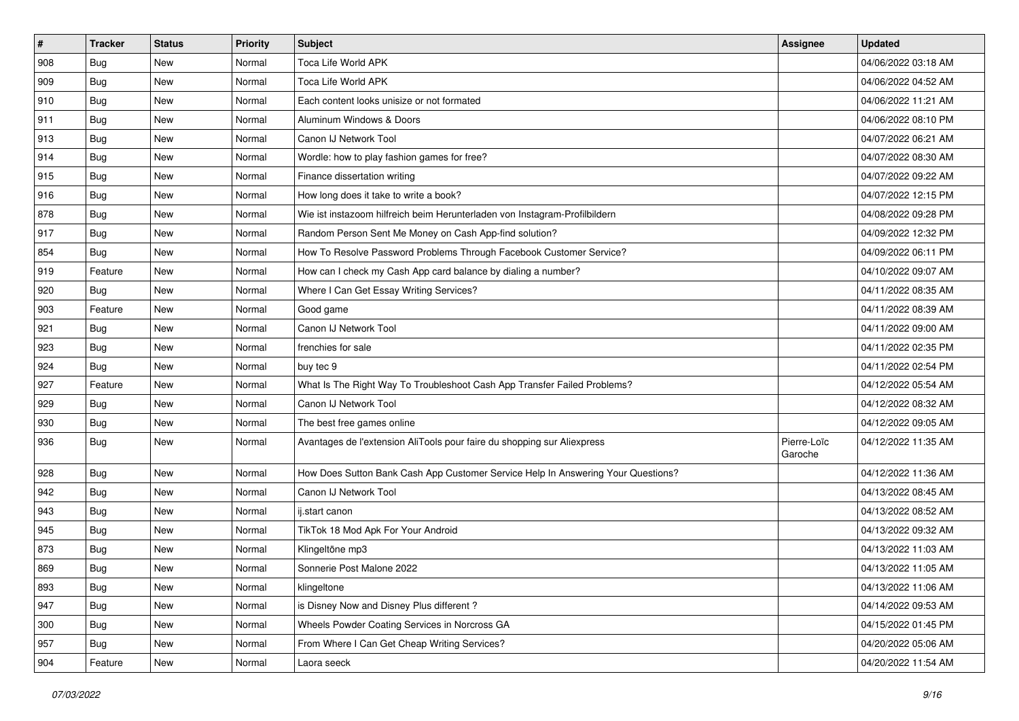| $\sharp$ | <b>Tracker</b> | <b>Status</b> | <b>Priority</b> | <b>Subject</b>                                                                   | Assignee               | <b>Updated</b>      |
|----------|----------------|---------------|-----------------|----------------------------------------------------------------------------------|------------------------|---------------------|
| 908      | Bug            | New           | Normal          | Toca Life World APK                                                              |                        | 04/06/2022 03:18 AM |
| 909      | Bug            | New           | Normal          | Toca Life World APK                                                              |                        | 04/06/2022 04:52 AM |
| 910      | Bug            | New           | Normal          | Each content looks unisize or not formated                                       |                        | 04/06/2022 11:21 AM |
| 911      | Bug            | New           | Normal          | Aluminum Windows & Doors                                                         |                        | 04/06/2022 08:10 PM |
| 913      | <b>Bug</b>     | New           | Normal          | Canon IJ Network Tool                                                            |                        | 04/07/2022 06:21 AM |
| 914      | <b>Bug</b>     | New           | Normal          | Wordle: how to play fashion games for free?                                      |                        | 04/07/2022 08:30 AM |
| 915      | Bug            | New           | Normal          | Finance dissertation writing                                                     |                        | 04/07/2022 09:22 AM |
| 916      | Bug            | New           | Normal          | How long does it take to write a book?                                           |                        | 04/07/2022 12:15 PM |
| 878      | Bug            | New           | Normal          | Wie ist instazoom hilfreich beim Herunterladen von Instagram-Profilbildern       |                        | 04/08/2022 09:28 PM |
| 917      | Bug            | New           | Normal          | Random Person Sent Me Money on Cash App-find solution?                           |                        | 04/09/2022 12:32 PM |
| 854      | Bug            | New           | Normal          | How To Resolve Password Problems Through Facebook Customer Service?              |                        | 04/09/2022 06:11 PM |
| 919      | Feature        | New           | Normal          | How can I check my Cash App card balance by dialing a number?                    |                        | 04/10/2022 09:07 AM |
| 920      | Bug            | New           | Normal          | Where I Can Get Essay Writing Services?                                          |                        | 04/11/2022 08:35 AM |
| 903      | Feature        | New           | Normal          | Good game                                                                        |                        | 04/11/2022 08:39 AM |
| 921      | Bug            | New           | Normal          | Canon IJ Network Tool                                                            |                        | 04/11/2022 09:00 AM |
| 923      | Bug            | New           | Normal          | frenchies for sale                                                               |                        | 04/11/2022 02:35 PM |
| 924      | Bug            | New           | Normal          | buy tec 9                                                                        |                        | 04/11/2022 02:54 PM |
| 927      | Feature        | New           | Normal          | What Is The Right Way To Troubleshoot Cash App Transfer Failed Problems?         |                        | 04/12/2022 05:54 AM |
| 929      | Bug            | New           | Normal          | Canon IJ Network Tool                                                            |                        | 04/12/2022 08:32 AM |
| 930      | Bug            | New           | Normal          | The best free games online                                                       |                        | 04/12/2022 09:05 AM |
| 936      | Bug            | New           | Normal          | Avantages de l'extension AliTools pour faire du shopping sur Aliexpress          | Pierre-Loïc<br>Garoche | 04/12/2022 11:35 AM |
| 928      | Bug            | New           | Normal          | How Does Sutton Bank Cash App Customer Service Help In Answering Your Questions? |                        | 04/12/2022 11:36 AM |
| 942      | Bug            | New           | Normal          | Canon IJ Network Tool                                                            |                        | 04/13/2022 08:45 AM |
| 943      | Bug            | New           | Normal          | ij.start canon                                                                   |                        | 04/13/2022 08:52 AM |
| 945      | Bug            | New           | Normal          | TikTok 18 Mod Apk For Your Android                                               |                        | 04/13/2022 09:32 AM |
| 873      | Bug            | New           | Normal          | Klingeltöne mp3                                                                  |                        | 04/13/2022 11:03 AM |
| 869      | Bug            | New           | Normal          | Sonnerie Post Malone 2022                                                        |                        | 04/13/2022 11:05 AM |
| 893      | <b>Bug</b>     | New           | Normal          | klingeltone                                                                      |                        | 04/13/2022 11:06 AM |
| 947      | <b>Bug</b>     | New           | Normal          | is Disney Now and Disney Plus different?                                         |                        | 04/14/2022 09:53 AM |
| 300      | Bug            | New           | Normal          | Wheels Powder Coating Services in Norcross GA                                    |                        | 04/15/2022 01:45 PM |
| 957      | Bug            | New           | Normal          | From Where I Can Get Cheap Writing Services?                                     |                        | 04/20/2022 05:06 AM |
| 904      | Feature        | New           | Normal          | Laora seeck                                                                      |                        | 04/20/2022 11:54 AM |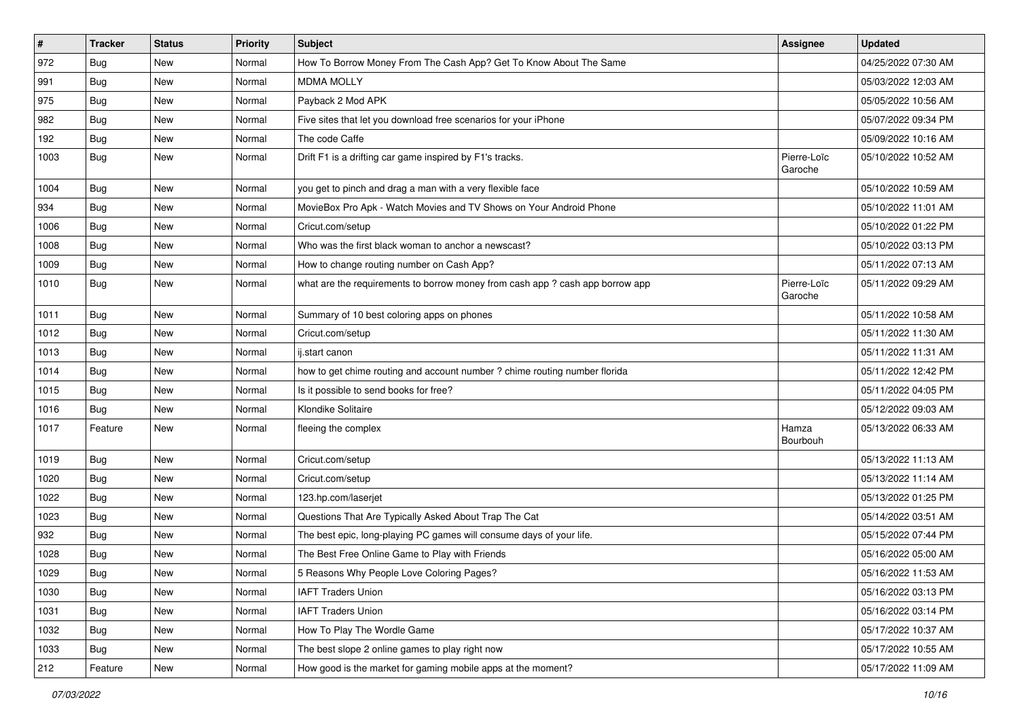| $\sharp$ | <b>Tracker</b> | <b>Status</b> | <b>Priority</b> | <b>Subject</b>                                                                | Assignee               | <b>Updated</b>      |
|----------|----------------|---------------|-----------------|-------------------------------------------------------------------------------|------------------------|---------------------|
| 972      | <b>Bug</b>     | New           | Normal          | How To Borrow Money From The Cash App? Get To Know About The Same             |                        | 04/25/2022 07:30 AM |
| 991      | Bug            | New           | Normal          | <b>MDMA MOLLY</b>                                                             |                        | 05/03/2022 12:03 AM |
| 975      | Bug            | New           | Normal          | Payback 2 Mod APK                                                             |                        | 05/05/2022 10:56 AM |
| 982      | <b>Bug</b>     | New           | Normal          | Five sites that let you download free scenarios for your iPhone               |                        | 05/07/2022 09:34 PM |
| 192      | <b>Bug</b>     | New           | Normal          | The code Caffe                                                                |                        | 05/09/2022 10:16 AM |
| 1003     | Bug            | New           | Normal          | Drift F1 is a drifting car game inspired by F1's tracks.                      | Pierre-Loïc<br>Garoche | 05/10/2022 10:52 AM |
| 1004     | Bug            | New           | Normal          | you get to pinch and drag a man with a very flexible face                     |                        | 05/10/2022 10:59 AM |
| 934      | <b>Bug</b>     | New           | Normal          | MovieBox Pro Apk - Watch Movies and TV Shows on Your Android Phone            |                        | 05/10/2022 11:01 AM |
| 1006     | Bug            | New           | Normal          | Cricut.com/setup                                                              |                        | 05/10/2022 01:22 PM |
| 1008     | Bug            | New           | Normal          | Who was the first black woman to anchor a newscast?                           |                        | 05/10/2022 03:13 PM |
| 1009     | <b>Bug</b>     | New           | Normal          | How to change routing number on Cash App?                                     |                        | 05/11/2022 07:13 AM |
| 1010     | Bug            | New           | Normal          | what are the requirements to borrow money from cash app ? cash app borrow app | Pierre-Loïc<br>Garoche | 05/11/2022 09:29 AM |
| 1011     | Bug            | New           | Normal          | Summary of 10 best coloring apps on phones                                    |                        | 05/11/2022 10:58 AM |
| 1012     | Bug            | New           | Normal          | Cricut.com/setup                                                              |                        | 05/11/2022 11:30 AM |
| 1013     | Bug            | New           | Normal          | ij.start canon                                                                |                        | 05/11/2022 11:31 AM |
| 1014     | Bug            | New           | Normal          | how to get chime routing and account number ? chime routing number florida    |                        | 05/11/2022 12:42 PM |
| 1015     | Bug            | New           | Normal          | Is it possible to send books for free?                                        |                        | 05/11/2022 04:05 PM |
| 1016     | Bug            | New           | Normal          | Klondike Solitaire                                                            |                        | 05/12/2022 09:03 AM |
| 1017     | Feature        | New           | Normal          | fleeing the complex                                                           | Hamza<br>Bourbouh      | 05/13/2022 06:33 AM |
| 1019     | Bug            | New           | Normal          | Cricut.com/setup                                                              |                        | 05/13/2022 11:13 AM |
| 1020     | <b>Bug</b>     | New           | Normal          | Cricut.com/setup                                                              |                        | 05/13/2022 11:14 AM |
| 1022     | <b>Bug</b>     | New           | Normal          | 123.hp.com/laserjet                                                           |                        | 05/13/2022 01:25 PM |
| 1023     | <b>Bug</b>     | New           | Normal          | Questions That Are Typically Asked About Trap The Cat                         |                        | 05/14/2022 03:51 AM |
| 932      | Bug            | New           | Normal          | The best epic, long-playing PC games will consume days of your life.          |                        | 05/15/2022 07:44 PM |
| 1028     | Bug            | New           | Normal          | The Best Free Online Game to Play with Friends                                |                        | 05/16/2022 05:00 AM |
| 1029     | Bug            | New           | Normal          | 5 Reasons Why People Love Coloring Pages?                                     |                        | 05/16/2022 11:53 AM |
| 1030     | Bug            | New           | Normal          | <b>IAFT Traders Union</b>                                                     |                        | 05/16/2022 03:13 PM |
| 1031     | Bug            | New           | Normal          | <b>IAFT Traders Union</b>                                                     |                        | 05/16/2022 03:14 PM |
| 1032     | Bug            | New           | Normal          | How To Play The Wordle Game                                                   |                        | 05/17/2022 10:37 AM |
| 1033     | Bug            | New           | Normal          | The best slope 2 online games to play right now                               |                        | 05/17/2022 10:55 AM |
| 212      | Feature        | New           | Normal          | How good is the market for gaming mobile apps at the moment?                  |                        | 05/17/2022 11:09 AM |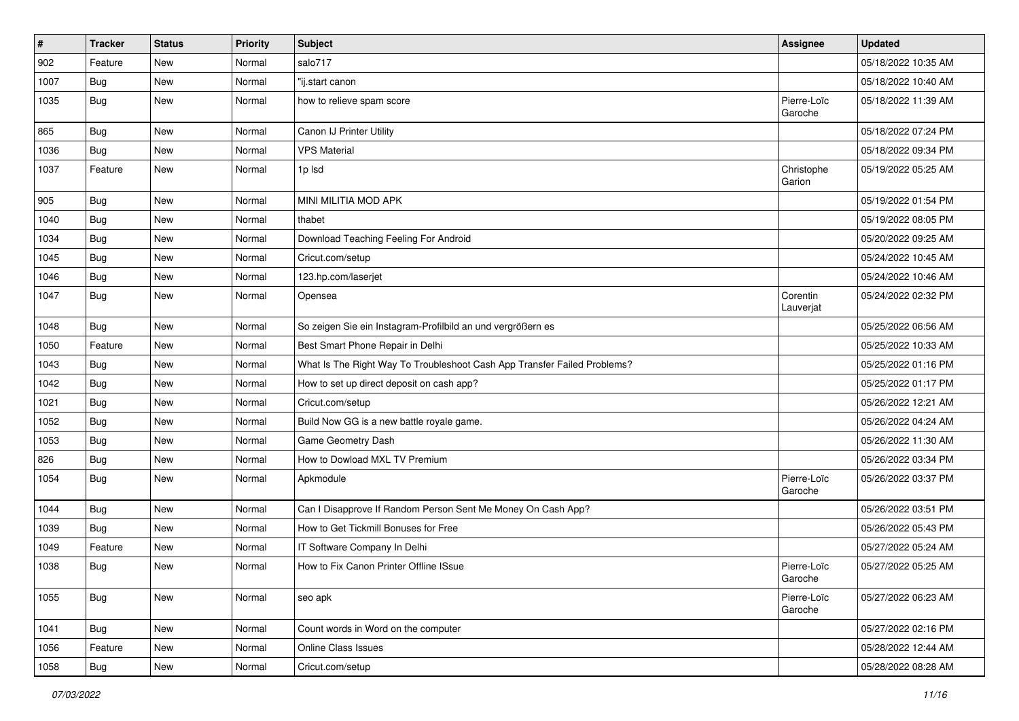| $\vert$ # | <b>Tracker</b> | <b>Status</b> | Priority | <b>Subject</b>                                                           | Assignee               | <b>Updated</b>      |
|-----------|----------------|---------------|----------|--------------------------------------------------------------------------|------------------------|---------------------|
| 902       | Feature        | New           | Normal   | salo717                                                                  |                        | 05/18/2022 10:35 AM |
| 1007      | Bug            | New           | Normal   | "ij.start canon                                                          |                        | 05/18/2022 10:40 AM |
| 1035      | Bug            | New           | Normal   | how to relieve spam score                                                | Pierre-Loïc<br>Garoche | 05/18/2022 11:39 AM |
| 865       | Bug            | New           | Normal   | Canon IJ Printer Utility                                                 |                        | 05/18/2022 07:24 PM |
| 1036      | Bug            | New           | Normal   | <b>VPS Material</b>                                                      |                        | 05/18/2022 09:34 PM |
| 1037      | Feature        | New           | Normal   | 1p lsd                                                                   | Christophe<br>Garion   | 05/19/2022 05:25 AM |
| 905       | Bug            | New           | Normal   | MINI MILITIA MOD APK                                                     |                        | 05/19/2022 01:54 PM |
| 1040      | Bug            | New           | Normal   | thabet                                                                   |                        | 05/19/2022 08:05 PM |
| 1034      | Bug            | New           | Normal   | Download Teaching Feeling For Android                                    |                        | 05/20/2022 09:25 AM |
| 1045      | Bug            | <b>New</b>    | Normal   | Cricut.com/setup                                                         |                        | 05/24/2022 10:45 AM |
| 1046      | Bug            | New           | Normal   | 123.hp.com/laserjet                                                      |                        | 05/24/2022 10:46 AM |
| 1047      | Bug            | New           | Normal   | Opensea                                                                  | Corentin<br>Lauverjat  | 05/24/2022 02:32 PM |
| 1048      | Bug            | New           | Normal   | So zeigen Sie ein Instagram-Profilbild an und vergrößern es              |                        | 05/25/2022 06:56 AM |
| 1050      | Feature        | <b>New</b>    | Normal   | Best Smart Phone Repair in Delhi                                         |                        | 05/25/2022 10:33 AM |
| 1043      | Bug            | New           | Normal   | What Is The Right Way To Troubleshoot Cash App Transfer Failed Problems? |                        | 05/25/2022 01:16 PM |
| 1042      | Bug            | New           | Normal   | How to set up direct deposit on cash app?                                |                        | 05/25/2022 01:17 PM |
| 1021      | Bug            | <b>New</b>    | Normal   | Cricut.com/setup                                                         |                        | 05/26/2022 12:21 AM |
| 1052      | Bug            | <b>New</b>    | Normal   | Build Now GG is a new battle royale game.                                |                        | 05/26/2022 04:24 AM |
| 1053      | Bug            | <b>New</b>    | Normal   | Game Geometry Dash                                                       |                        | 05/26/2022 11:30 AM |
| 826       | Bug            | New           | Normal   | How to Dowload MXL TV Premium                                            |                        | 05/26/2022 03:34 PM |
| 1054      | Bug            | New           | Normal   | Apkmodule                                                                | Pierre-Loïc<br>Garoche | 05/26/2022 03:37 PM |
| 1044      | Bug            | <b>New</b>    | Normal   | Can I Disapprove If Random Person Sent Me Money On Cash App?             |                        | 05/26/2022 03:51 PM |
| 1039      | Bug            | New           | Normal   | How to Get Tickmill Bonuses for Free                                     |                        | 05/26/2022 05:43 PM |
| 1049      | Feature        | <b>New</b>    | Normal   | IT Software Company In Delhi                                             |                        | 05/27/2022 05:24 AM |
| 1038      | Bug            | <b>New</b>    | Normal   | How to Fix Canon Printer Offline ISsue                                   | Pierre-Loïc<br>Garoche | 05/27/2022 05:25 AM |
| 1055      | <b>Bug</b>     | New           | Normal   | seo apk                                                                  | Pierre-Loïc<br>Garoche | 05/27/2022 06:23 AM |
| 1041      | <b>Bug</b>     | New           | Normal   | Count words in Word on the computer                                      |                        | 05/27/2022 02:16 PM |
| 1056      | Feature        | New           | Normal   | Online Class Issues                                                      |                        | 05/28/2022 12:44 AM |
| 1058      | <b>Bug</b>     | New           | Normal   | Cricut.com/setup                                                         |                        | 05/28/2022 08:28 AM |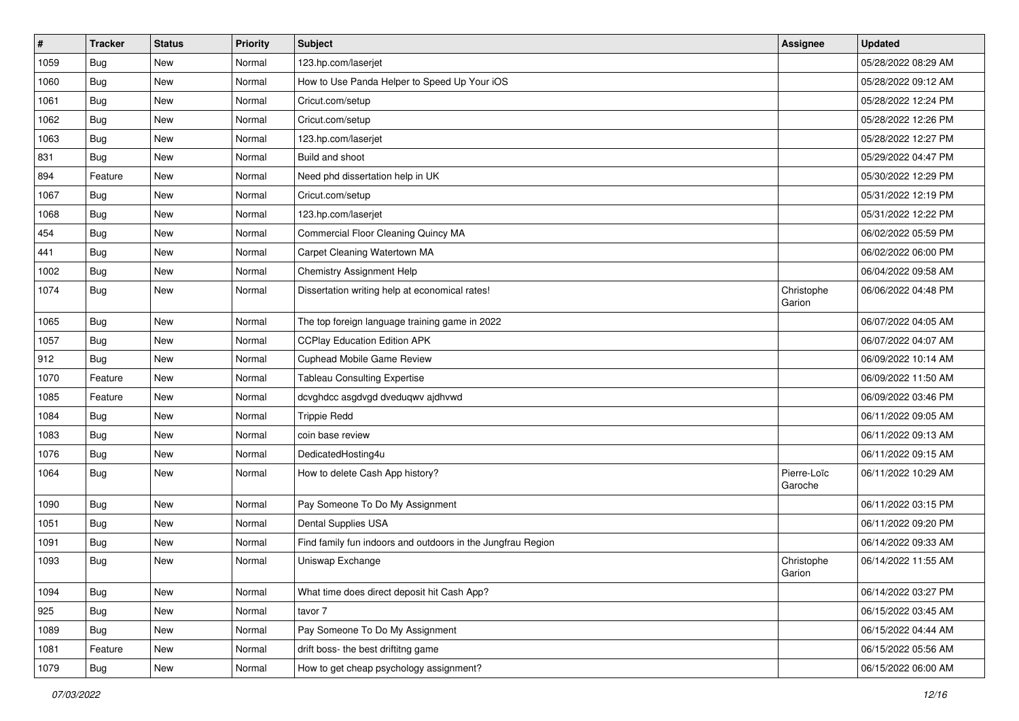| $\vert$ # | <b>Tracker</b> | <b>Status</b> | <b>Priority</b> | Subject                                                     | Assignee               | <b>Updated</b>      |
|-----------|----------------|---------------|-----------------|-------------------------------------------------------------|------------------------|---------------------|
| 1059      | Bug            | New           | Normal          | 123.hp.com/laserjet                                         |                        | 05/28/2022 08:29 AM |
| 1060      | Bug            | New           | Normal          | How to Use Panda Helper to Speed Up Your iOS                |                        | 05/28/2022 09:12 AM |
| 1061      | Bug            | New           | Normal          | Cricut.com/setup                                            |                        | 05/28/2022 12:24 PM |
| 1062      | Bug            | New           | Normal          | Cricut.com/setup                                            |                        | 05/28/2022 12:26 PM |
| 1063      | <b>Bug</b>     | <b>New</b>    | Normal          | 123.hp.com/laserjet                                         |                        | 05/28/2022 12:27 PM |
| 831       | Bug            | New           | Normal          | Build and shoot                                             |                        | 05/29/2022 04:47 PM |
| 894       | Feature        | New           | Normal          | Need phd dissertation help in UK                            |                        | 05/30/2022 12:29 PM |
| 1067      | <b>Bug</b>     | New           | Normal          | Cricut.com/setup                                            |                        | 05/31/2022 12:19 PM |
| 1068      | Bug            | New           | Normal          | 123.hp.com/laserjet                                         |                        | 05/31/2022 12:22 PM |
| 454       | Bug            | New           | Normal          | Commercial Floor Cleaning Quincy MA                         |                        | 06/02/2022 05:59 PM |
| 441       | Bug            | New           | Normal          | Carpet Cleaning Watertown MA                                |                        | 06/02/2022 06:00 PM |
| 1002      | Bug            | New           | Normal          | Chemistry Assignment Help                                   |                        | 06/04/2022 09:58 AM |
| 1074      | <b>Bug</b>     | New           | Normal          | Dissertation writing help at economical rates!              | Christophe<br>Garion   | 06/06/2022 04:48 PM |
| 1065      | Bug            | <b>New</b>    | Normal          | The top foreign language training game in 2022              |                        | 06/07/2022 04:05 AM |
| 1057      | Bug            | New           | Normal          | <b>CCPlay Education Edition APK</b>                         |                        | 06/07/2022 04:07 AM |
| 912       | Bug            | New           | Normal          | Cuphead Mobile Game Review                                  |                        | 06/09/2022 10:14 AM |
| 1070      | Feature        | New           | Normal          | <b>Tableau Consulting Expertise</b>                         |                        | 06/09/2022 11:50 AM |
| 1085      | Feature        | New           | Normal          | dcvghdcc asgdvgd dveduqwv ajdhvwd                           |                        | 06/09/2022 03:46 PM |
| 1084      | Bug            | New           | Normal          | <b>Trippie Redd</b>                                         |                        | 06/11/2022 09:05 AM |
| 1083      | Bug            | New           | Normal          | coin base review                                            |                        | 06/11/2022 09:13 AM |
| 1076      | <b>Bug</b>     | New           | Normal          | DedicatedHosting4u                                          |                        | 06/11/2022 09:15 AM |
| 1064      | <b>Bug</b>     | New           | Normal          | How to delete Cash App history?                             | Pierre-Loïc<br>Garoche | 06/11/2022 10:29 AM |
| 1090      | <b>Bug</b>     | New           | Normal          | Pay Someone To Do My Assignment                             |                        | 06/11/2022 03:15 PM |
| 1051      | Bug            | <b>New</b>    | Normal          | Dental Supplies USA                                         |                        | 06/11/2022 09:20 PM |
| 1091      | Bug            | New           | Normal          | Find family fun indoors and outdoors in the Jungfrau Region |                        | 06/14/2022 09:33 AM |
| 1093      | <b>Bug</b>     | New           | Normal          | Uniswap Exchange                                            | Christophe<br>Garion   | 06/14/2022 11:55 AM |
| 1094      | <b>Bug</b>     | New           | Normal          | What time does direct deposit hit Cash App?                 |                        | 06/14/2022 03:27 PM |
| 925       | <b>Bug</b>     | New           | Normal          | tavor 7                                                     |                        | 06/15/2022 03:45 AM |
| 1089      | Bug            | New           | Normal          | Pay Someone To Do My Assignment                             |                        | 06/15/2022 04:44 AM |
| 1081      | Feature        | New           | Normal          | drift boss- the best driftitng game                         |                        | 06/15/2022 05:56 AM |
| 1079      | Bug            | New           | Normal          | How to get cheap psychology assignment?                     |                        | 06/15/2022 06:00 AM |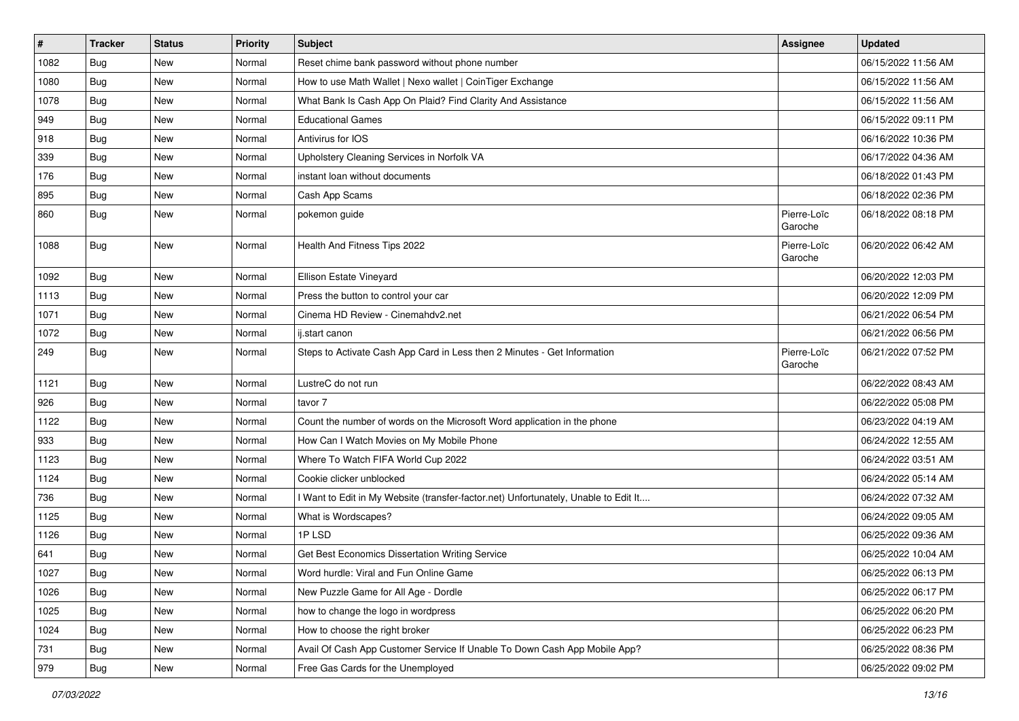| $\sharp$ | <b>Tracker</b> | <b>Status</b> | <b>Priority</b> | <b>Subject</b>                                                                      | Assignee               | <b>Updated</b>      |
|----------|----------------|---------------|-----------------|-------------------------------------------------------------------------------------|------------------------|---------------------|
| 1082     | Bug            | New           | Normal          | Reset chime bank password without phone number                                      |                        | 06/15/2022 11:56 AM |
| 1080     | Bug            | New           | Normal          | How to use Math Wallet   Nexo wallet   CoinTiger Exchange                           |                        | 06/15/2022 11:56 AM |
| 1078     | Bug            | New           | Normal          | What Bank Is Cash App On Plaid? Find Clarity And Assistance                         |                        | 06/15/2022 11:56 AM |
| 949      | Bug            | New           | Normal          | <b>Educational Games</b>                                                            |                        | 06/15/2022 09:11 PM |
| 918      | <b>Bug</b>     | New           | Normal          | Antivirus for IOS                                                                   |                        | 06/16/2022 10:36 PM |
| 339      | <b>Bug</b>     | New           | Normal          | Upholstery Cleaning Services in Norfolk VA                                          |                        | 06/17/2022 04:36 AM |
| 176      | Bug            | New           | Normal          | instant loan without documents                                                      |                        | 06/18/2022 01:43 PM |
| 895      | Bug            | New           | Normal          | Cash App Scams                                                                      |                        | 06/18/2022 02:36 PM |
| 860      | Bug            | New           | Normal          | pokemon guide                                                                       | Pierre-Loïc<br>Garoche | 06/18/2022 08:18 PM |
| 1088     | Bug            | New           | Normal          | Health And Fitness Tips 2022                                                        | Pierre-Loïc<br>Garoche | 06/20/2022 06:42 AM |
| 1092     | Bug            | New           | Normal          | Ellison Estate Vineyard                                                             |                        | 06/20/2022 12:03 PM |
| 1113     | Bug            | New           | Normal          | Press the button to control your car                                                |                        | 06/20/2022 12:09 PM |
| 1071     | Bug            | New           | Normal          | Cinema HD Review - Cinemahdv2.net                                                   |                        | 06/21/2022 06:54 PM |
| 1072     | Bug            | New           | Normal          | ij.start canon                                                                      |                        | 06/21/2022 06:56 PM |
| 249      | Bug            | New           | Normal          | Steps to Activate Cash App Card in Less then 2 Minutes - Get Information            | Pierre-Loïc<br>Garoche | 06/21/2022 07:52 PM |
| 1121     | Bug            | New           | Normal          | LustreC do not run                                                                  |                        | 06/22/2022 08:43 AM |
| 926      | Bug            | <b>New</b>    | Normal          | tavor 7                                                                             |                        | 06/22/2022 05:08 PM |
| 1122     | Bug            | New           | Normal          | Count the number of words on the Microsoft Word application in the phone            |                        | 06/23/2022 04:19 AM |
| 933      | Bug            | New           | Normal          | How Can I Watch Movies on My Mobile Phone                                           |                        | 06/24/2022 12:55 AM |
| 1123     | Bug            | New           | Normal          | Where To Watch FIFA World Cup 2022                                                  |                        | 06/24/2022 03:51 AM |
| 1124     | Bug            | New           | Normal          | Cookie clicker unblocked                                                            |                        | 06/24/2022 05:14 AM |
| 736      | Bug            | New           | Normal          | I Want to Edit in My Website (transfer-factor.net) Unfortunately, Unable to Edit It |                        | 06/24/2022 07:32 AM |
| 1125     | Bug            | New           | Normal          | What is Wordscapes?                                                                 |                        | 06/24/2022 09:05 AM |
| 1126     | Bug            | New           | Normal          | 1PLSD                                                                               |                        | 06/25/2022 09:36 AM |
| 641      | Bug            | New           | Normal          | Get Best Economics Dissertation Writing Service                                     |                        | 06/25/2022 10:04 AM |
| 1027     | Bug            | New           | Normal          | Word hurdle: Viral and Fun Online Game                                              |                        | 06/25/2022 06:13 PM |
| 1026     | Bug            | New           | Normal          | New Puzzle Game for All Age - Dordle                                                |                        | 06/25/2022 06:17 PM |
| 1025     | Bug            | New           | Normal          | how to change the logo in wordpress                                                 |                        | 06/25/2022 06:20 PM |
| 1024     | Bug            | New           | Normal          | How to choose the right broker                                                      |                        | 06/25/2022 06:23 PM |
| 731      | Bug            | New           | Normal          | Avail Of Cash App Customer Service If Unable To Down Cash App Mobile App?           |                        | 06/25/2022 08:36 PM |
| 979      | <b>Bug</b>     | New           | Normal          | Free Gas Cards for the Unemployed                                                   |                        | 06/25/2022 09:02 PM |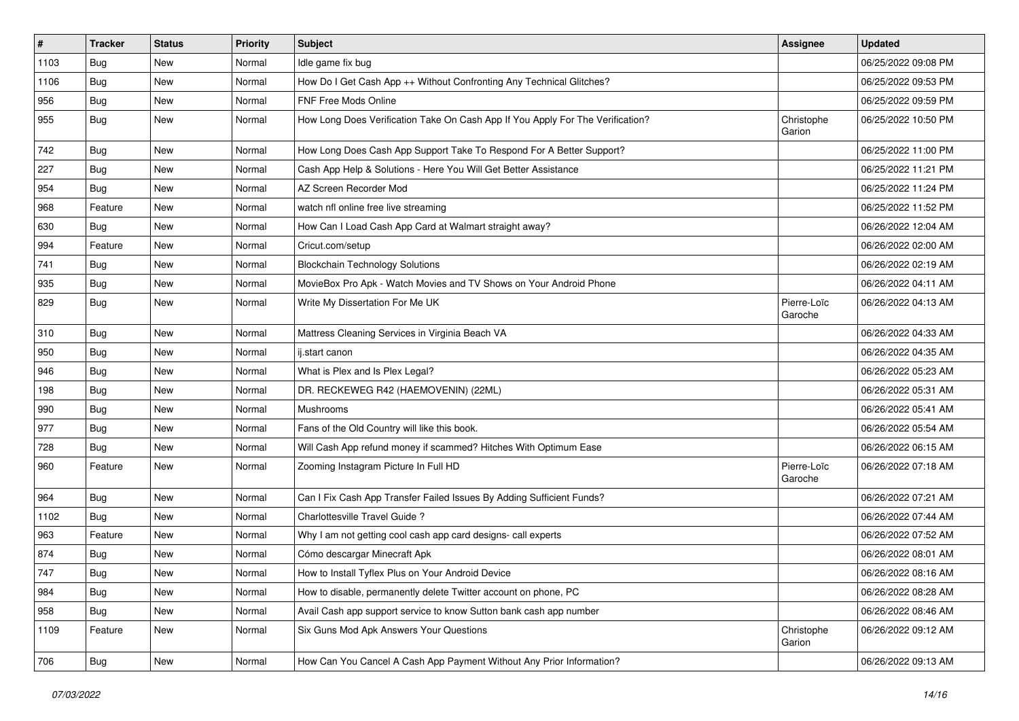| $\sharp$ | <b>Tracker</b> | <b>Status</b> | <b>Priority</b> | Subject                                                                        | Assignee               | <b>Updated</b>      |
|----------|----------------|---------------|-----------------|--------------------------------------------------------------------------------|------------------------|---------------------|
| 1103     | <b>Bug</b>     | New           | Normal          | Idle game fix bug                                                              |                        | 06/25/2022 09:08 PM |
| 1106     | Bug            | New           | Normal          | How Do I Get Cash App ++ Without Confronting Any Technical Glitches?           |                        | 06/25/2022 09:53 PM |
| 956      | Bug            | New           | Normal          | FNF Free Mods Online                                                           |                        | 06/25/2022 09:59 PM |
| 955      | Bug            | New           | Normal          | How Long Does Verification Take On Cash App If You Apply For The Verification? | Christophe<br>Garion   | 06/25/2022 10:50 PM |
| 742      | Bug            | New           | Normal          | How Long Does Cash App Support Take To Respond For A Better Support?           |                        | 06/25/2022 11:00 PM |
| 227      | Bug            | New           | Normal          | Cash App Help & Solutions - Here You Will Get Better Assistance                |                        | 06/25/2022 11:21 PM |
| 954      | Bug            | New           | Normal          | AZ Screen Recorder Mod                                                         |                        | 06/25/2022 11:24 PM |
| 968      | Feature        | New           | Normal          | watch nfl online free live streaming                                           |                        | 06/25/2022 11:52 PM |
| 630      | Bug            | New           | Normal          | How Can I Load Cash App Card at Walmart straight away?                         |                        | 06/26/2022 12:04 AM |
| 994      | Feature        | New           | Normal          | Cricut.com/setup                                                               |                        | 06/26/2022 02:00 AM |
| 741      | Bug            | New           | Normal          | <b>Blockchain Technology Solutions</b>                                         |                        | 06/26/2022 02:19 AM |
| 935      | Bug            | New           | Normal          | MovieBox Pro Apk - Watch Movies and TV Shows on Your Android Phone             |                        | 06/26/2022 04:11 AM |
| 829      | Bug            | New           | Normal          | Write My Dissertation For Me UK                                                | Pierre-Loïc<br>Garoche | 06/26/2022 04:13 AM |
| 310      | Bug            | New           | Normal          | Mattress Cleaning Services in Virginia Beach VA                                |                        | 06/26/2022 04:33 AM |
| 950      | Bug            | New           | Normal          | ij.start canon                                                                 |                        | 06/26/2022 04:35 AM |
| 946      | Bug            | New           | Normal          | What is Plex and Is Plex Legal?                                                |                        | 06/26/2022 05:23 AM |
| 198      | Bug            | New           | Normal          | DR. RECKEWEG R42 (HAEMOVENIN) (22ML)                                           |                        | 06/26/2022 05:31 AM |
| 990      | Bug            | New           | Normal          | Mushrooms                                                                      |                        | 06/26/2022 05:41 AM |
| 977      | Bug            | New           | Normal          | Fans of the Old Country will like this book.                                   |                        | 06/26/2022 05:54 AM |
| 728      | Bug            | New           | Normal          | Will Cash App refund money if scammed? Hitches With Optimum Ease               |                        | 06/26/2022 06:15 AM |
| 960      | Feature        | New           | Normal          | Zooming Instagram Picture In Full HD                                           | Pierre-Loïc<br>Garoche | 06/26/2022 07:18 AM |
| 964      | Bug            | New           | Normal          | Can I Fix Cash App Transfer Failed Issues By Adding Sufficient Funds?          |                        | 06/26/2022 07:21 AM |
| 1102     | Bug            | New           | Normal          | Charlottesville Travel Guide?                                                  |                        | 06/26/2022 07:44 AM |
| 963      | Feature        | New           | Normal          | Why I am not getting cool cash app card designs- call experts                  |                        | 06/26/2022 07:52 AM |
| 874      | Bug            | New           | Normal          | Cómo descargar Minecraft Apk                                                   |                        | 06/26/2022 08:01 AM |
| 747      | Bug            | New           | Normal          | How to Install Tyflex Plus on Your Android Device                              |                        | 06/26/2022 08:16 AM |
| 984      | Bug            | New           | Normal          | How to disable, permanently delete Twitter account on phone, PC                |                        | 06/26/2022 08:28 AM |
| 958      | Bug            | New           | Normal          | Avail Cash app support service to know Sutton bank cash app number             |                        | 06/26/2022 08:46 AM |
| 1109     | Feature        | New           | Normal          | Six Guns Mod Apk Answers Your Questions                                        | Christophe<br>Garion   | 06/26/2022 09:12 AM |
| 706      | Bug            | New           | Normal          | How Can You Cancel A Cash App Payment Without Any Prior Information?           |                        | 06/26/2022 09:13 AM |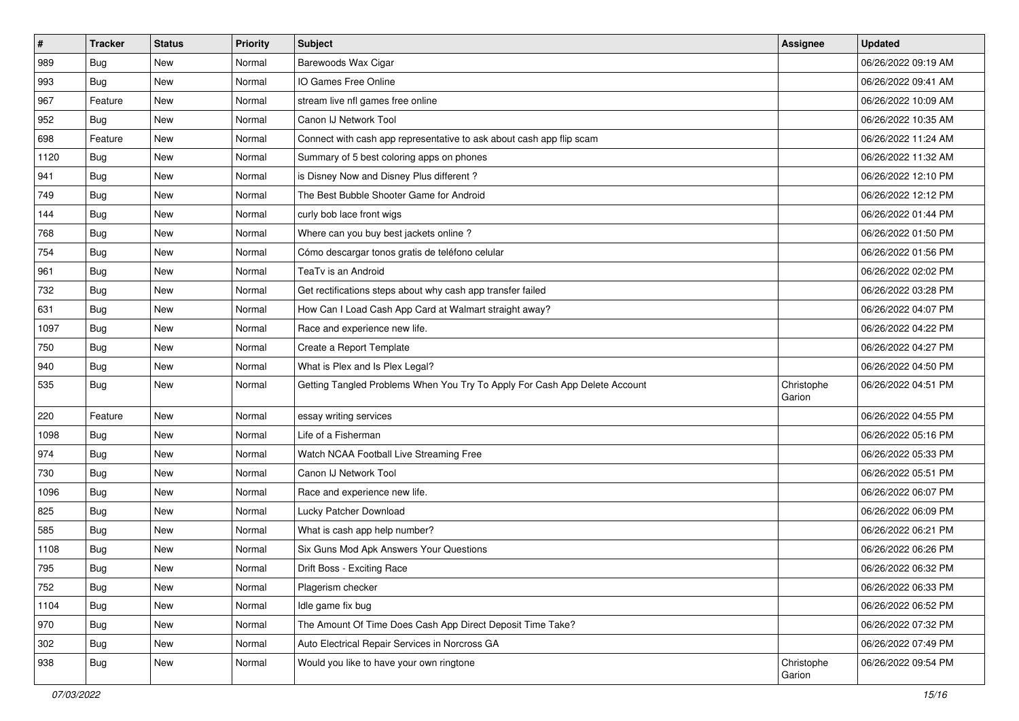| $\sharp$ | <b>Tracker</b> | <b>Status</b> | <b>Priority</b> | Subject                                                                    | Assignee             | <b>Updated</b>      |
|----------|----------------|---------------|-----------------|----------------------------------------------------------------------------|----------------------|---------------------|
| 989      | Bug            | New           | Normal          | Barewoods Wax Cigar                                                        |                      | 06/26/2022 09:19 AM |
| 993      | Bug            | New           | Normal          | IO Games Free Online                                                       |                      | 06/26/2022 09:41 AM |
| 967      | Feature        | New           | Normal          | stream live nfl games free online                                          |                      | 06/26/2022 10:09 AM |
| 952      | Bug            | New           | Normal          | Canon IJ Network Tool                                                      |                      | 06/26/2022 10:35 AM |
| 698      | Feature        | New           | Normal          | Connect with cash app representative to ask about cash app flip scam       |                      | 06/26/2022 11:24 AM |
| 1120     | Bug            | New           | Normal          | Summary of 5 best coloring apps on phones                                  |                      | 06/26/2022 11:32 AM |
| 941      | Bug            | New           | Normal          | is Disney Now and Disney Plus different?                                   |                      | 06/26/2022 12:10 PM |
| 749      | Bug            | New           | Normal          | The Best Bubble Shooter Game for Android                                   |                      | 06/26/2022 12:12 PM |
| 144      | Bug            | New           | Normal          | curly bob lace front wigs                                                  |                      | 06/26/2022 01:44 PM |
| 768      | Bug            | New           | Normal          | Where can you buy best jackets online?                                     |                      | 06/26/2022 01:50 PM |
| 754      | Bug            | New           | Normal          | Cómo descargar tonos gratis de teléfono celular                            |                      | 06/26/2022 01:56 PM |
| 961      | Bug            | New           | Normal          | TeaTv is an Android                                                        |                      | 06/26/2022 02:02 PM |
| 732      | Bug            | <b>New</b>    | Normal          | Get rectifications steps about why cash app transfer failed                |                      | 06/26/2022 03:28 PM |
| 631      | Bug            | New           | Normal          | How Can I Load Cash App Card at Walmart straight away?                     |                      | 06/26/2022 04:07 PM |
| 1097     | Bug            | New           | Normal          | Race and experience new life.                                              |                      | 06/26/2022 04:22 PM |
| 750      | Bug            | New           | Normal          | Create a Report Template                                                   |                      | 06/26/2022 04:27 PM |
| 940      | Bug            | New           | Normal          | What is Plex and Is Plex Legal?                                            |                      | 06/26/2022 04:50 PM |
| 535      | Bug            | New           | Normal          | Getting Tangled Problems When You Try To Apply For Cash App Delete Account | Christophe<br>Garion | 06/26/2022 04:51 PM |
| 220      | Feature        | New           | Normal          | essay writing services                                                     |                      | 06/26/2022 04:55 PM |
| 1098     | Bug            | <b>New</b>    | Normal          | Life of a Fisherman                                                        |                      | 06/26/2022 05:16 PM |
| 974      | Bug            | New           | Normal          | Watch NCAA Football Live Streaming Free                                    |                      | 06/26/2022 05:33 PM |
| 730      | Bug            | <b>New</b>    | Normal          | Canon IJ Network Tool                                                      |                      | 06/26/2022 05:51 PM |
| 1096     | Bug            | New           | Normal          | Race and experience new life.                                              |                      | 06/26/2022 06:07 PM |
| 825      | Bug            | New           | Normal          | Lucky Patcher Download                                                     |                      | 06/26/2022 06:09 PM |
| 585      | Bug            | New           | Normal          | What is cash app help number?                                              |                      | 06/26/2022 06:21 PM |
| 1108     | Bug            | New           | Normal          | Six Guns Mod Apk Answers Your Questions                                    |                      | 06/26/2022 06:26 PM |
| 795      | Bug            | New           | Normal          | Drift Boss - Exciting Race                                                 |                      | 06/26/2022 06:32 PM |
| 752      | <b>Bug</b>     | New           | Normal          | Plagerism checker                                                          |                      | 06/26/2022 06:33 PM |
| 1104     | Bug            | New           | Normal          | Idle game fix bug                                                          |                      | 06/26/2022 06:52 PM |
| 970      | Bug            | New           | Normal          | The Amount Of Time Does Cash App Direct Deposit Time Take?                 |                      | 06/26/2022 07:32 PM |
| 302      | Bug            | New           | Normal          | Auto Electrical Repair Services in Norcross GA                             |                      | 06/26/2022 07:49 PM |
| 938      | <b>Bug</b>     | New           | Normal          | Would you like to have your own ringtone                                   | Christophe<br>Garion | 06/26/2022 09:54 PM |